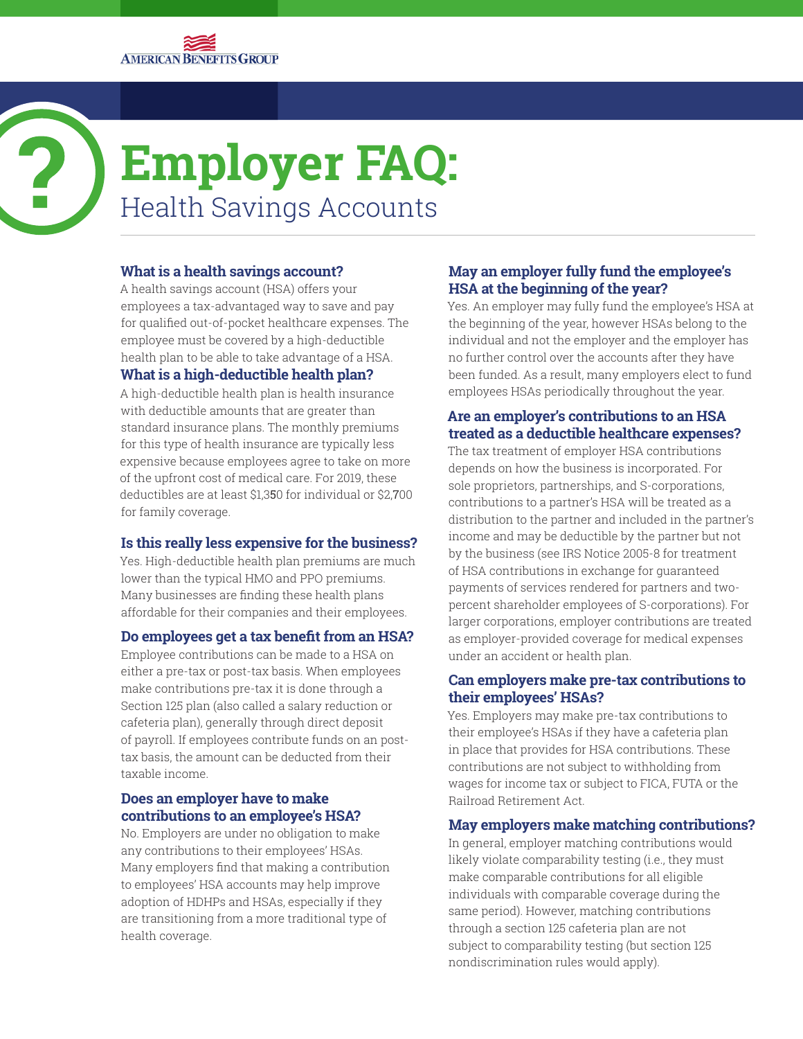

# **Employer FAQ:** Health Savings Accounts

# **What is a health savings account?**

A health savings account (HSA) offers your employees a tax-advantaged way to save and pay for qualified out-of-pocket healthcare expenses. The employee must be covered by a high-deductible health plan to be able to take advantage of a HSA. **What is a high-deductible health plan?**

A high-deductible health plan is health insurance with deductible amounts that are greater than standard insurance plans. The monthly premiums for this type of health insurance are typically less expensive because employees agree to take on more of the upfront cost of medical care. For 2019, these deductibles are at least \$1,350 for individual or \$2,700 for family coverage.

# **Is this really less expensive for the business?**

Yes. High-deductible health plan premiums are much lower than the typical HMO and PPO premiums. Many businesses are finding these health plans affordable for their companies and their employees.

# **Do employees get a tax benefit from an HSA?**

Employee contributions can be made to a HSA on either a pre-tax or post-tax basis. When employees make contributions pre-tax it is done through a Section 125 plan (also called a salary reduction or cafeteria plan), generally through direct deposit of payroll. If employees contribute funds on an posttax basis, the amount can be deducted from their taxable income.

### **Does an employer have to make contributions to an employee's HSA?**

No. Employers are under no obligation to make any contributions to their employees' HSAs. Many employers find that making a contribution to employees' HSA accounts may help improve adoption of HDHPs and HSAs, especially if they are transitioning from a more traditional type of health coverage.

# **May an employer fully fund the employee's HSA at the beginning of the year?**

Yes. An employer may fully fund the employee's HSA at the beginning of the year, however HSAs belong to the individual and not the employer and the employer has no further control over the accounts after they have been funded. As a result, many employers elect to fund employees HSAs periodically throughout the year.

# **Are an employer's contributions to an HSA treated as a deductible healthcare expenses?**

The tax treatment of employer HSA contributions depends on how the business is incorporated. For sole proprietors, partnerships, and S-corporations, contributions to a partner's HSA will be treated as a distribution to the partner and included in the partner's income and may be deductible by the partner but not by the business (see IRS Notice 2005-8 for treatment of HSA contributions in exchange for guaranteed payments of services rendered for partners and twopercent shareholder employees of S-corporations). For larger corporations, employer contributions are treated as employer-provided coverage for medical expenses under an accident or health plan.

### **Can employers make pre-tax contributions to their employees' HSAs?**

Yes. Employers may make pre-tax contributions to their employee's HSAs if they have a cafeteria plan in place that provides for HSA contributions. These contributions are not subject to withholding from wages for income tax or subject to FICA, FUTA or the Railroad Retirement Act.

# **May employers make matching contributions?**

In general, employer matching contributions would likely violate comparability testing (i.e., they must make comparable contributions for all eligible individuals with comparable coverage during the same period). However, matching contributions through a section 125 cafeteria plan are not subject to comparability testing (but section 125 nondiscrimination rules would apply).